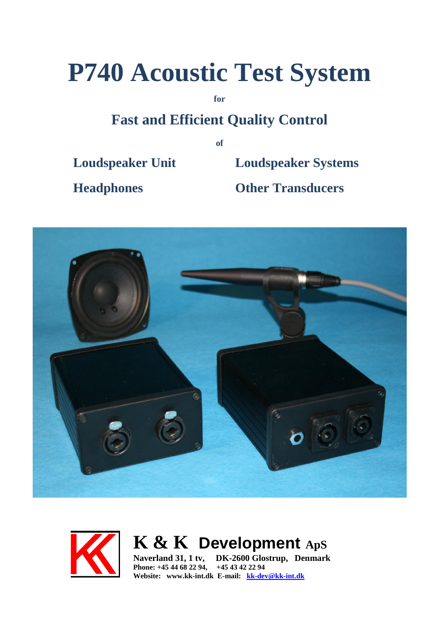# **P740 Acoustic Test System**

**for**

## **Fast and Efficient Quality Control**

**of**

**Loudspeaker Unit Loudspeaker Systems**

**Headphones Other Transducers**





## **K & K Development ApS**

**Naverland 31, 1 tv, DK-2600 Glostrup, Denmark Phone: +45 44 68 22 94, +45 43 42 22 94 Website: www.kk-int.dk E-mail: [kk-dev@kk-int.dk](mailto:kk-dev@kk-int.dk)**